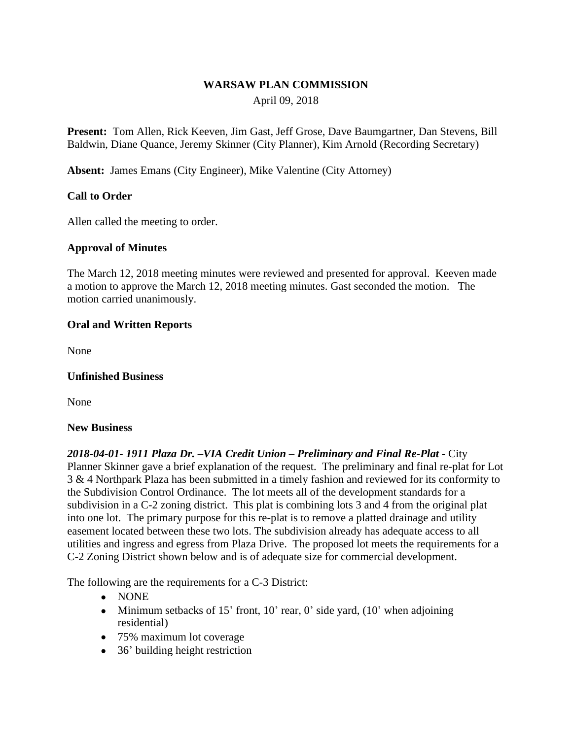# **WARSAW PLAN COMMISSION**

# April 09, 2018

**Present:** Tom Allen, Rick Keeven, Jim Gast, Jeff Grose, Dave Baumgartner, Dan Stevens, Bill Baldwin, Diane Quance, Jeremy Skinner (City Planner), Kim Arnold (Recording Secretary)

**Absent:** James Emans (City Engineer), Mike Valentine (City Attorney)

## **Call to Order**

Allen called the meeting to order.

## **Approval of Minutes**

The March 12, 2018 meeting minutes were reviewed and presented for approval. Keeven made a motion to approve the March 12, 2018 meeting minutes. Gast seconded the motion. The motion carried unanimously.

#### **Oral and Written Reports**

None

#### **Unfinished Business**

None

#### **New Business**

# *2018-04-01- 1911 Plaza Dr. –VIA Credit Union – Preliminary and Final Re-Plat -* City Planner Skinner gave a brief explanation of the request. The preliminary and final re-plat for Lot 3 & 4 Northpark Plaza has been submitted in a timely fashion and reviewed for its conformity to the Subdivision Control Ordinance. The lot meets all of the development standards for a subdivision in a C-2 zoning district. This plat is combining lots 3 and 4 from the original plat into one lot. The primary purpose for this re-plat is to remove a platted drainage and utility easement located between these two lots. The subdivision already has adequate access to all utilities and ingress and egress from Plaza Drive. The proposed lot meets the requirements for a C-2 Zoning District shown below and is of adequate size for commercial development.

The following are the requirements for a C-3 District:

- NONE
- Minimum setbacks of 15' front, 10' rear, 0' side yard,  $(10)$ ' when adjoining residential)
- 75% maximum lot coverage
- 36' building height restriction